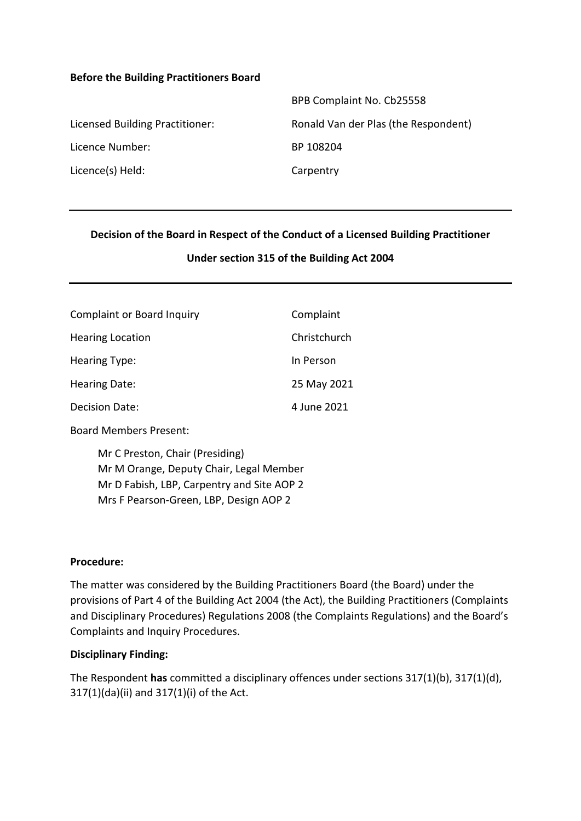#### **Before the Building Practitioners Board**

|                                 | BPB Complaint No. Cb25558            |
|---------------------------------|--------------------------------------|
| Licensed Building Practitioner: | Ronald Van der Plas (the Respondent) |
| Licence Number:                 | BP 108204                            |
| Licence(s) Held:                | Carpentry                            |
|                                 |                                      |

#### **Decision of the Board in Respect of the Conduct of a Licensed Building Practitioner**

#### **Under section 315 of the Building Act 2004**

| <b>Complaint or Board Inquiry</b> | Complaint    |
|-----------------------------------|--------------|
| <b>Hearing Location</b>           | Christchurch |
| <b>Hearing Type:</b>              | In Person    |
| Hearing Date:                     | 25 May 2021  |
| <b>Decision Date:</b>             | 4 June 2021  |

Board Members Present:

Mr C Preston, Chair (Presiding) Mr M Orange, Deputy Chair, Legal Member Mr D Fabish, LBP, Carpentry and Site AOP 2 Mrs F Pearson-Green, LBP, Design AOP 2

#### **Procedure:**

The matter was considered by the Building Practitioners Board (the Board) under the provisions of Part 4 of the Building Act 2004 (the Act), the Building Practitioners (Complaints and Disciplinary Procedures) Regulations 2008 (the Complaints Regulations) and the Board's Complaints and Inquiry Procedures.

#### **Disciplinary Finding:**

The Respondent **has** committed a disciplinary offences under sections 317(1)(b), 317(1)(d), 317(1)(da)(ii) and 317(1)(i) of the Act.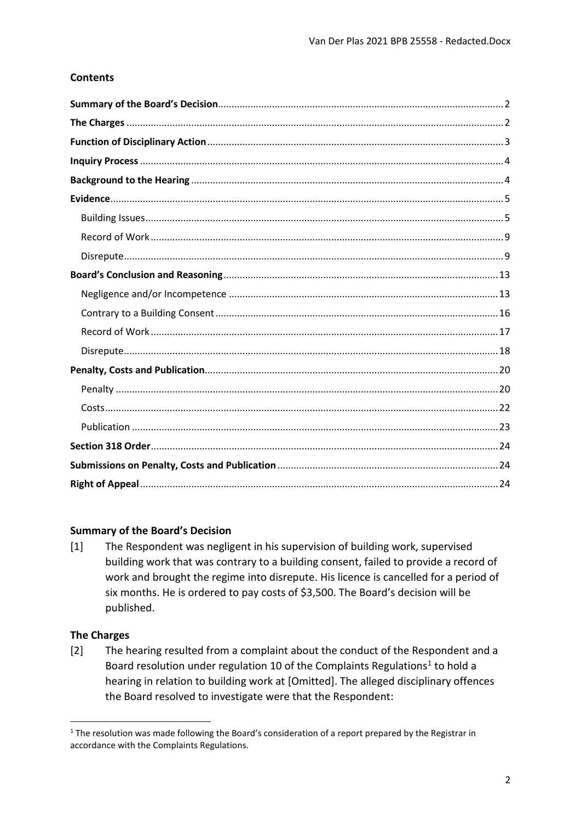### **Contents**

#### <span id="page-1-0"></span>**Summary of the Board's Decision**

The Respondent was negligent in his supervision of building work, supervised  $\lceil 1 \rceil$ building work that was contrary to a building consent, failed to provide a record of work and brought the regime into disrepute. His licence is cancelled for a period of six months. He is ordered to pay costs of \$3,500. The Board's decision will be published.

#### <span id="page-1-1"></span>**The Charges**

 $\lceil 2 \rceil$ The hearing resulted from a complaint about the conduct of the Respondent and a Board resolution under regulation 10 of the Complaints Regulations<sup>1</sup> to hold a hearing in relation to building work at [Omitted]. The alleged disciplinary offences the Board resolved to investigate were that the Respondent:

<span id="page-1-2"></span><sup>&</sup>lt;sup>1</sup> The resolution was made following the Board's consideration of a report prepared by the Registrar in accordance with the Complaints Regulations.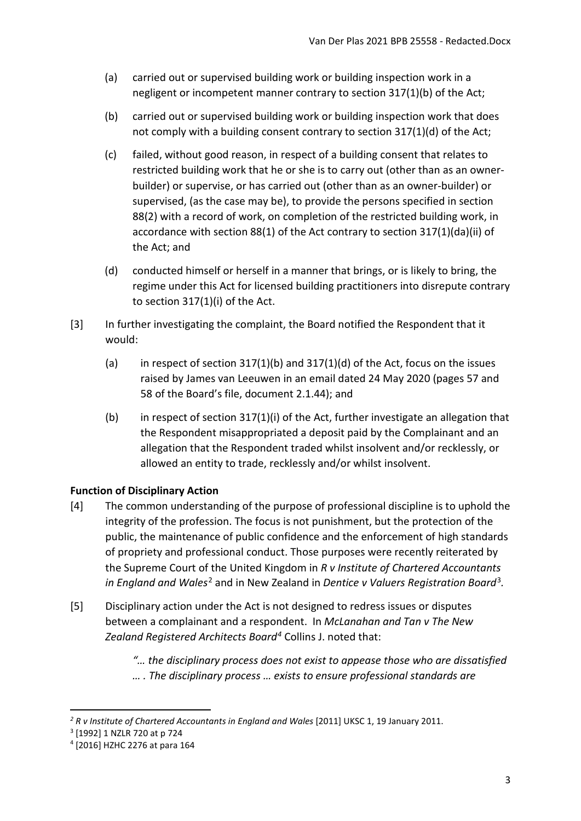- (a) carried out or supervised building work or building inspection work in a negligent or incompetent manner contrary to section 317(1)(b) of the Act;
- (b) carried out or supervised building work or building inspection work that does not comply with a building consent contrary to section 317(1)(d) of the Act;
- (c) failed, without good reason, in respect of a building consent that relates to restricted building work that he or she is to carry out (other than as an ownerbuilder) or supervise, or has carried out (other than as an owner-builder) or supervised, (as the case may be), to provide the persons specified in section 88(2) with a record of work, on completion of the restricted building work, in accordance with section 88(1) of the Act contrary to section 317(1)(da)(ii) of the Act; and
- (d) conducted himself or herself in a manner that brings, or is likely to bring, the regime under this Act for licensed building practitioners into disrepute contrary to section 317(1)(i) of the Act.
- [3] In further investigating the complaint, the Board notified the Respondent that it would:
	- (a) in respect of section  $317(1)(b)$  and  $317(1)(d)$  of the Act, focus on the issues raised by James van Leeuwen in an email dated 24 May 2020 (pages 57 and 58 of the Board's file, document 2.1.44); and
	- (b) in respect of section 317(1)(i) of the Act, further investigate an allegation that the Respondent misappropriated a deposit paid by the Complainant and an allegation that the Respondent traded whilst insolvent and/or recklessly, or allowed an entity to trade, recklessly and/or whilst insolvent.

# <span id="page-2-0"></span>**Function of Disciplinary Action**

- [4] The common understanding of the purpose of professional discipline is to uphold the integrity of the profession. The focus is not punishment, but the protection of the public, the maintenance of public confidence and the enforcement of high standards of propriety and professional conduct. Those purposes were recently reiterated by the Supreme Court of the United Kingdom in *R v Institute of Chartered Accountants in England and Wales*[2](#page-2-1) and in New Zealand in *Dentice v Valuers Registration Board*[3](#page-2-2)*.*
- [5] Disciplinary action under the Act is not designed to redress issues or disputes between a complainant and a respondent. In *McLanahan and Tan v The New Zealand Registered Architects Board[4](#page-2-3)* Collins J. noted that:
	- *"… the disciplinary process does not exist to appease those who are dissatisfied … . The disciplinary process … exists to ensure professional standards are*

<span id="page-2-1"></span><sup>&</sup>lt;sup>2</sup> R v Institute of Chartered Accountants in England and Wales [2011] UKSC 1, 19 January 2011.

<span id="page-2-2"></span><sup>3</sup> [1992] 1 NZLR 720 at p 724

<span id="page-2-3"></span><sup>4</sup> [2016] HZHC 2276 at para 164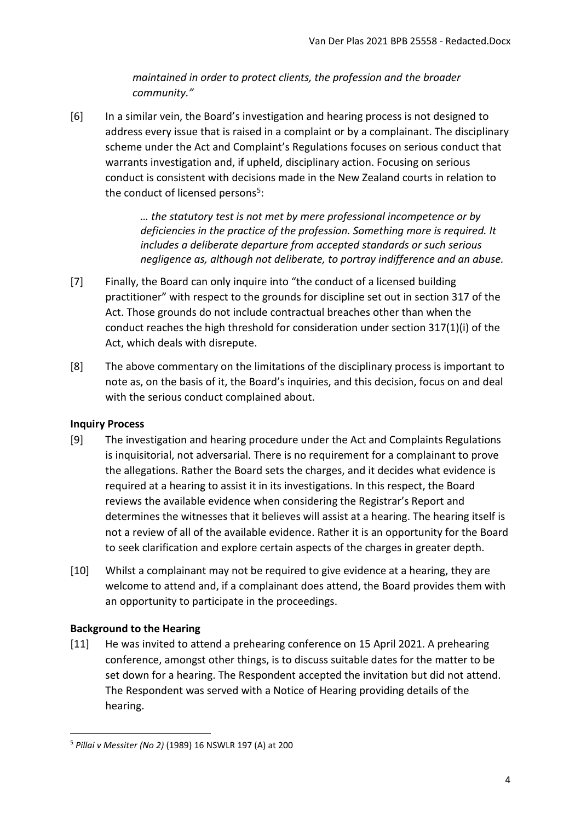*maintained in order to protect clients, the profession and the broader community."*

[6] In a similar vein, the Board's investigation and hearing process is not designed to address every issue that is raised in a complaint or by a complainant. The disciplinary scheme under the Act and Complaint's Regulations focuses on serious conduct that warrants investigation and, if upheld, disciplinary action. Focusing on serious conduct is consistent with decisions made in the New Zealand courts in relation to the conduct of licensed persons<sup>[5](#page-3-2)</sup>:

> *… the statutory test is not met by mere professional incompetence or by deficiencies in the practice of the profession. Something more is required. It includes a deliberate departure from accepted standards or such serious negligence as, although not deliberate, to portray indifference and an abuse.*

- [7] Finally, the Board can only inquire into "the conduct of a licensed building practitioner" with respect to the grounds for discipline set out in section 317 of the Act. Those grounds do not include contractual breaches other than when the conduct reaches the high threshold for consideration under section 317(1)(i) of the Act, which deals with disrepute.
- [8] The above commentary on the limitations of the disciplinary process is important to note as, on the basis of it, the Board's inquiries, and this decision, focus on and deal with the serious conduct complained about.

### <span id="page-3-0"></span>**Inquiry Process**

- [9] The investigation and hearing procedure under the Act and Complaints Regulations is inquisitorial, not adversarial. There is no requirement for a complainant to prove the allegations. Rather the Board sets the charges, and it decides what evidence is required at a hearing to assist it in its investigations. In this respect, the Board reviews the available evidence when considering the Registrar's Report and determines the witnesses that it believes will assist at a hearing. The hearing itself is not a review of all of the available evidence. Rather it is an opportunity for the Board to seek clarification and explore certain aspects of the charges in greater depth.
- [10] Whilst a complainant may not be required to give evidence at a hearing, they are welcome to attend and, if a complainant does attend, the Board provides them with an opportunity to participate in the proceedings.

### <span id="page-3-1"></span>**Background to the Hearing**

 $\overline{a}$ 

[11] He was invited to attend a prehearing conference on 15 April 2021. A prehearing conference, amongst other things, is to discuss suitable dates for the matter to be set down for a hearing. The Respondent accepted the invitation but did not attend. The Respondent was served with a Notice of Hearing providing details of the hearing.

<span id="page-3-2"></span><sup>5</sup> *Pillai v Messiter (No 2)* (1989) 16 NSWLR 197 (A) at 200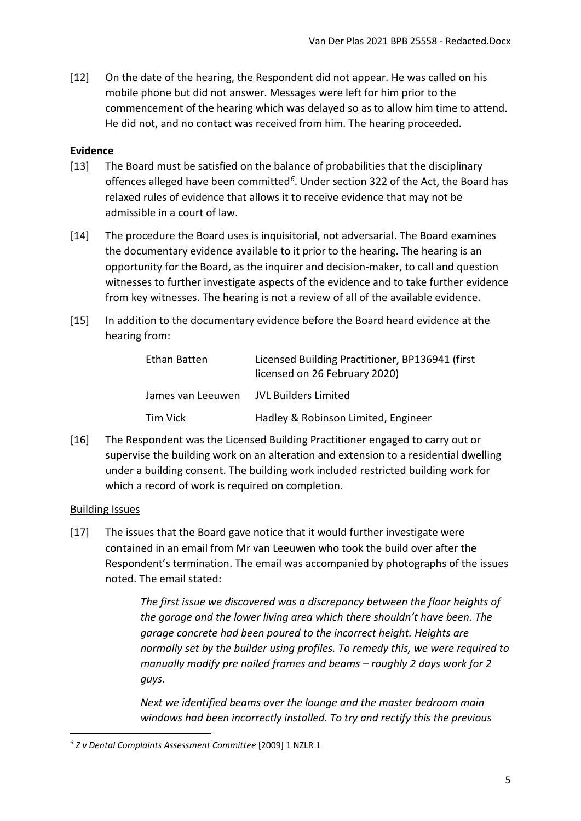[12] On the date of the hearing, the Respondent did not appear. He was called on his mobile phone but did not answer. Messages were left for him prior to the commencement of the hearing which was delayed so as to allow him time to attend. He did not, and no contact was received from him. The hearing proceeded.

### <span id="page-4-0"></span>**Evidence**

- [13] The Board must be satisfied on the balance of probabilities that the disciplinary offences alleged have been committed*[6](#page-4-2)*. Under section 322 of the Act, the Board has relaxed rules of evidence that allows it to receive evidence that may not be admissible in a court of law.
- [14] The procedure the Board uses is inquisitorial, not adversarial. The Board examines the documentary evidence available to it prior to the hearing. The hearing is an opportunity for the Board, as the inquirer and decision-maker, to call and question witnesses to further investigate aspects of the evidence and to take further evidence from key witnesses. The hearing is not a review of all of the available evidence.
- [15] In addition to the documentary evidence before the Board heard evidence at the hearing from:

| Ethan Batten      | Licensed Building Practitioner, BP136941 (first<br>licensed on 26 February 2020) |
|-------------------|----------------------------------------------------------------------------------|
| James van Leeuwen | JVL Builders Limited                                                             |
| Tim Vick          | Hadley & Robinson Limited, Engineer                                              |

[16] The Respondent was the Licensed Building Practitioner engaged to carry out or supervise the building work on an alteration and extension to a residential dwelling under a building consent. The building work included restricted building work for which a record of work is required on completion.

#### <span id="page-4-1"></span>Building Issues

 $\overline{a}$ 

[17] The issues that the Board gave notice that it would further investigate were contained in an email from Mr van Leeuwen who took the build over after the Respondent's termination. The email was accompanied by photographs of the issues noted. The email stated:

> *The first issue we discovered was a discrepancy between the floor heights of the garage and the lower living area which there shouldn't have been. The garage concrete had been poured to the incorrect height. Heights are normally set by the builder using profiles. To remedy this, we were required to manually modify pre nailed frames and beams – roughly 2 days work for 2 guys.*

*Next we identified beams over the lounge and the master bedroom main windows had been incorrectly installed. To try and rectify this the previous* 

<span id="page-4-2"></span><sup>6</sup> *Z v Dental Complaints Assessment Committee* [2009] 1 NZLR 1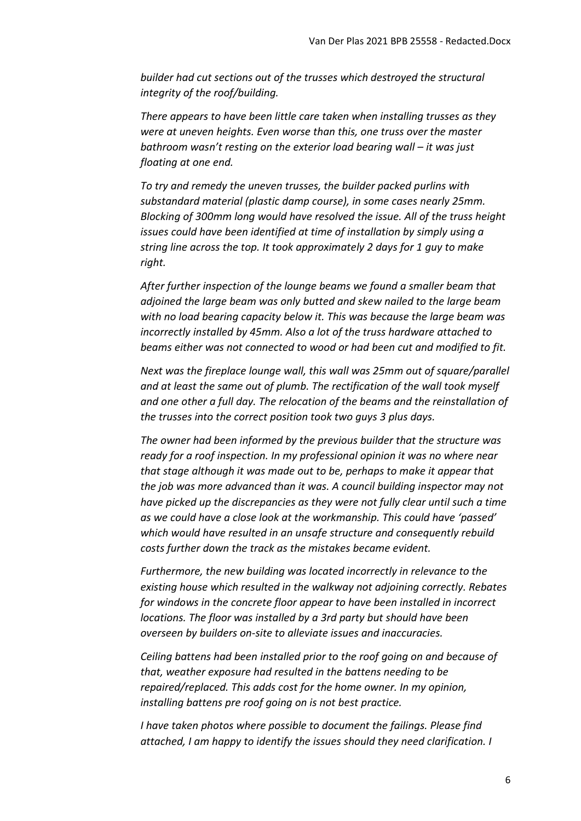*builder had cut sections out of the trusses which destroyed the structural integrity of the roof/building.*

*There appears to have been little care taken when installing trusses as they were at uneven heights. Even worse than this, one truss over the master bathroom wasn't resting on the exterior load bearing wall – it was just floating at one end.*

*To try and remedy the uneven trusses, the builder packed purlins with substandard material (plastic damp course), in some cases nearly 25mm. Blocking of 300mm long would have resolved the issue. All of the truss height issues could have been identified at time of installation by simply using a string line across the top. It took approximately 2 days for 1 guy to make right.*

*After further inspection of the lounge beams we found a smaller beam that adjoined the large beam was only butted and skew nailed to the large beam with no load bearing capacity below it. This was because the large beam was incorrectly installed by 45mm. Also a lot of the truss hardware attached to beams either was not connected to wood or had been cut and modified to fit.*

*Next was the fireplace lounge wall, this wall was 25mm out of square/parallel and at least the same out of plumb. The rectification of the wall took myself and one other a full day. The relocation of the beams and the reinstallation of the trusses into the correct position took two guys 3 plus days.*

*The owner had been informed by the previous builder that the structure was ready for a roof inspection. In my professional opinion it was no where near that stage although it was made out to be, perhaps to make it appear that the job was more advanced than it was. A council building inspector may not have picked up the discrepancies as they were not fully clear until such a time as we could have a close look at the workmanship. This could have 'passed' which would have resulted in an unsafe structure and consequently rebuild costs further down the track as the mistakes became evident.*

*Furthermore, the new building was located incorrectly in relevance to the existing house which resulted in the walkway not adjoining correctly. Rebates for windows in the concrete floor appear to have been installed in incorrect locations. The floor was installed by a 3rd party but should have been overseen by builders on-site to alleviate issues and inaccuracies.*

*Ceiling battens had been installed prior to the roof going on and because of that, weather exposure had resulted in the battens needing to be repaired/replaced. This adds cost for the home owner. In my opinion, installing battens pre roof going on is not best practice.*

*I have taken photos where possible to document the failings. Please find attached, I am happy to identify the issues should they need clarification. I*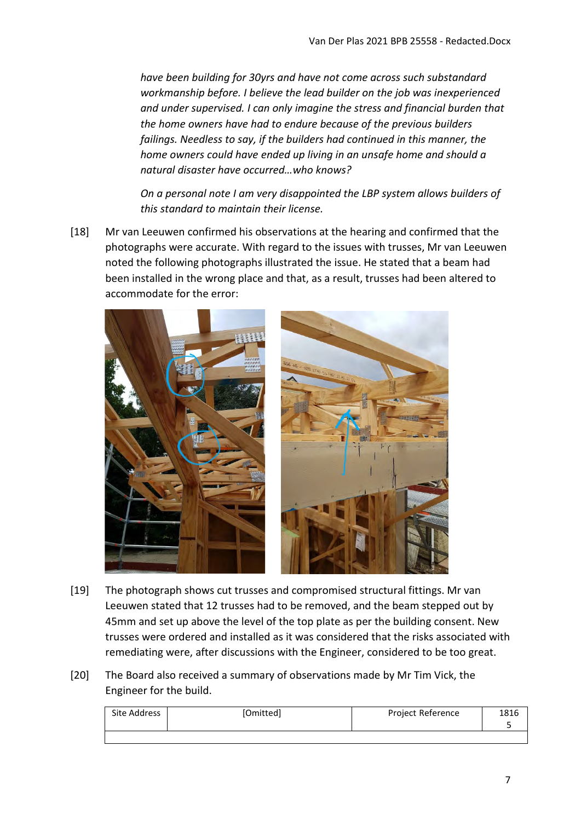*have been building for 30yrs and have not come across such substandard workmanship before. I believe the lead builder on the job was inexperienced and under supervised. I can only imagine the stress and financial burden that the home owners have had to endure because of the previous builders failings. Needless to say, if the builders had continued in this manner, the home owners could have ended up living in an unsafe home and should a natural disaster have occurred…who knows?*

*On a personal note I am very disappointed the LBP system allows builders of this standard to maintain their license.*

[18] Mr van Leeuwen confirmed his observations at the hearing and confirmed that the photographs were accurate. With regard to the issues with trusses, Mr van Leeuwen noted the following photographs illustrated the issue. He stated that a beam had been installed in the wrong place and that, as a result, trusses had been altered to accommodate for the error:



- [19] The photograph shows cut trusses and compromised structural fittings. Mr van Leeuwen stated that 12 trusses had to be removed, and the beam stepped out by 45mm and set up above the level of the top plate as per the building consent. New trusses were ordered and installed as it was considered that the risks associated with remediating were, after discussions with the Engineer, considered to be too great.
- [20] The Board also received a summary of observations made by Mr Tim Vick, the Engineer for the build.

| Site Address | [Omitted] | <b>Project Reference</b> | 1816 |
|--------------|-----------|--------------------------|------|
|              |           |                          |      |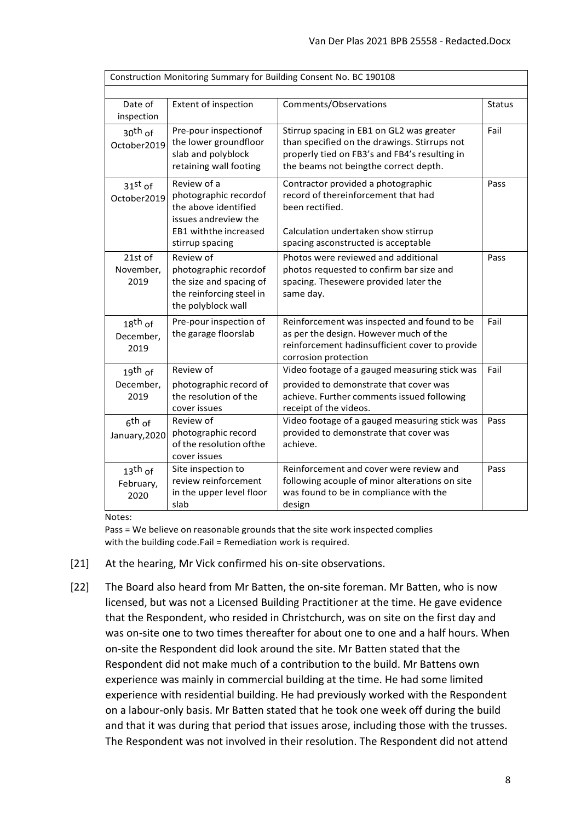| Construction Monitoring Summary for Building Consent No. BC 190108 |                                                                                                                                   |                                                                                                                                                                                     |               |  |
|--------------------------------------------------------------------|-----------------------------------------------------------------------------------------------------------------------------------|-------------------------------------------------------------------------------------------------------------------------------------------------------------------------------------|---------------|--|
|                                                                    |                                                                                                                                   |                                                                                                                                                                                     |               |  |
| Date of<br>inspection                                              | Extent of inspection                                                                                                              | Comments/Observations                                                                                                                                                               | <b>Status</b> |  |
| $30th$ of<br>October2019                                           | Pre-pour inspectionof<br>the lower groundfloor<br>slab and polyblock<br>retaining wall footing                                    | Stirrup spacing in EB1 on GL2 was greater<br>than specified on the drawings. Stirrups not<br>properly tied on FB3's and FB4's resulting in<br>the beams not beingthe correct depth. | Fail          |  |
| $31st$ of<br>October2019                                           | Review of a<br>photographic recordof<br>the above identified<br>issues andreview the<br>EB1 with the increased<br>stirrup spacing | Contractor provided a photographic<br>record of thereinforcement that had<br>been rectified.<br>Calculation undertaken show stirrup<br>spacing asconstructed is acceptable          | Pass          |  |
| 21st of<br>November,<br>2019                                       | Review of<br>photographic recordof<br>the size and spacing of<br>the reinforcing steel in<br>the polyblock wall                   | Photos were reviewed and additional<br>photos requested to confirm bar size and<br>spacing. Thesewere provided later the<br>same day.                                               | Pass          |  |
| $18$ <sup>th</sup> of<br>December,<br>2019                         | Pre-pour inspection of<br>the garage floorslab                                                                                    | Reinforcement was inspected and found to be<br>as per the design. However much of the<br>reinforcement hadinsufficient cover to provide<br>corrosion protection                     | Fail          |  |
| $19th$ of                                                          | Review of                                                                                                                         | Video footage of a gauged measuring stick was                                                                                                                                       | Fail          |  |
| December,<br>2019                                                  | photographic record of<br>the resolution of the<br>cover issues                                                                   | provided to demonstrate that cover was<br>achieve. Further comments issued following<br>receipt of the videos.                                                                      |               |  |
| $6th$ of<br>January, 2020                                          | Review of<br>photographic record<br>of the resolution of the<br>cover issues                                                      | Video footage of a gauged measuring stick was<br>provided to demonstrate that cover was<br>achieve.                                                                                 | Pass          |  |
| $13$ <sup>th</sup> of<br>February,<br>2020                         | Site inspection to<br>review reinforcement<br>in the upper level floor<br>slab                                                    | Reinforcement and cover were review and<br>following acouple of minor alterations on site<br>was found to be in compliance with the<br>design                                       | Pass          |  |

Notes:

Pass = We believe on reasonable grounds that the site work inspected complies with the building code.Fail = Remediation work is required.

- [21] At the hearing, Mr Vick confirmed his on-site observations.
- [22] The Board also heard from Mr Batten, the on-site foreman. Mr Batten, who is now licensed, but was not a Licensed Building Practitioner at the time. He gave evidence that the Respondent, who resided in Christchurch, was on site on the first day and was on-site one to two times thereafter for about one to one and a half hours. When on-site the Respondent did look around the site. Mr Batten stated that the Respondent did not make much of a contribution to the build. Mr Battens own experience was mainly in commercial building at the time. He had some limited experience with residential building. He had previously worked with the Respondent on a labour-only basis. Mr Batten stated that he took one week off during the build and that it was during that period that issues arose, including those with the trusses. The Respondent was not involved in their resolution. The Respondent did not attend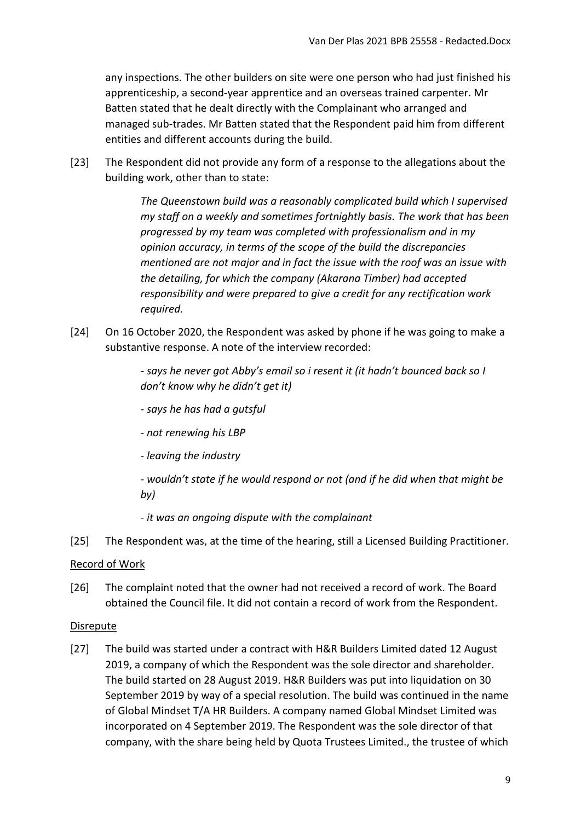any inspections. The other builders on site were one person who had just finished his apprenticeship, a second-year apprentice and an overseas trained carpenter. Mr Batten stated that he dealt directly with the Complainant who arranged and managed sub-trades. Mr Batten stated that the Respondent paid him from different entities and different accounts during the build.

[23] The Respondent did not provide any form of a response to the allegations about the building work, other than to state:

> *The Queenstown build was a reasonably complicated build which I supervised my staff on a weekly and sometimes fortnightly basis. The work that has been progressed by my team was completed with professionalism and in my opinion accuracy, in terms of the scope of the build the discrepancies mentioned are not major and in fact the issue with the roof was an issue with the detailing, for which the company (Akarana Timber) had accepted responsibility and were prepared to give a credit for any rectification work required.*

[24] On 16 October 2020, the Respondent was asked by phone if he was going to make a substantive response. A note of the interview recorded:

> *- says he never got Abby's email so i resent it (it hadn't bounced back so I don't know why he didn't get it)*

- *says he has had a gutsful*
- *not renewing his LBP*
- *leaving the industry*

*- wouldn't state if he would respond or not (and if he did when that might be by)*

*- it was an ongoing dispute with the complainant*

[25] The Respondent was, at the time of the hearing, still a Licensed Building Practitioner.

### <span id="page-8-0"></span>Record of Work

[26] The complaint noted that the owner had not received a record of work. The Board obtained the Council file. It did not contain a record of work from the Respondent.

### <span id="page-8-1"></span>Disrepute

[27] The build was started under a contract with H&R Builders Limited dated 12 August 2019, a company of which the Respondent was the sole director and shareholder. The build started on 28 August 2019. H&R Builders was put into liquidation on 30 September 2019 by way of a special resolution. The build was continued in the name of Global Mindset T/A HR Builders. A company named Global Mindset Limited was incorporated on 4 September 2019. The Respondent was the sole director of that company, with the share being held by Quota Trustees Limited., the trustee of which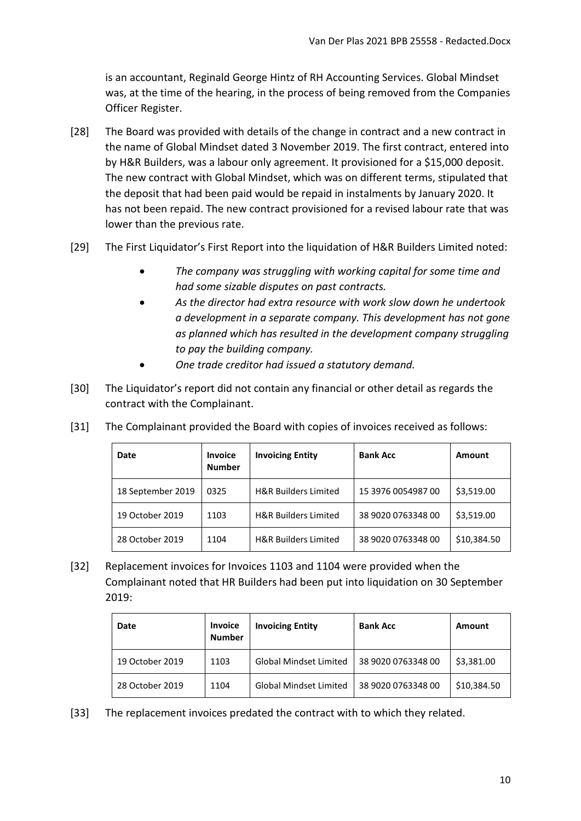is an accountant, Reginald George Hintz of RH Accounting Services. Global Mindset was, at the time of the hearing, in the process of being removed from the Companies Officer Register.

- [28] The Board was provided with details of the change in contract and a new contract in the name of Global Mindset dated 3 November 2019. The first contract, entered into by H&R Builders, was a labour only agreement. It provisioned for a \$15,000 deposit. The new contract with Global Mindset, which was on different terms, stipulated that the deposit that had been paid would be repaid in instalments by January 2020. It has not been repaid. The new contract provisioned for a revised labour rate that was lower than the previous rate.
- [29] The First Liquidator's First Report into the liquidation of H&R Builders Limited noted:
	- *The company was struggling with working capital for some time and had some sizable disputes on past contracts.*
	- *As the director had extra resource with work slow down he undertook a development in a separate company. This development has not gone as planned which has resulted in the development company struggling to pay the building company.*
	- *One trade creditor had issued a statutory demand.*
- [30] The Liquidator's report did not contain any financial or other detail as regards the contract with the Complainant.

| Date              | <b>Invoice</b><br><b>Number</b> | <b>Invoicing Entity</b>         | <b>Bank Acc</b>    | Amount      |
|-------------------|---------------------------------|---------------------------------|--------------------|-------------|
| 18 September 2019 | 0325                            | <b>H&amp;R Builders Limited</b> | 15 3976 0054987 00 | \$3,519.00  |
| 19 October 2019   | 1103                            | <b>H&amp;R Builders Limited</b> | 38 9020 0763348 00 | \$3,519.00  |
| 28 October 2019   | 1104                            | <b>H&amp;R Builders Limited</b> | 38 9020 0763348 00 | \$10,384.50 |

[31] The Complainant provided the Board with copies of invoices received as follows:

[32] Replacement invoices for Invoices 1103 and 1104 were provided when the Complainant noted that HR Builders had been put into liquidation on 30 September 2019:

| Date            | <b>Invoice</b><br><b>Number</b> | <b>Invoicing Entity</b>       | <b>Bank Acc</b>    | Amount      |
|-----------------|---------------------------------|-------------------------------|--------------------|-------------|
| 19 October 2019 | 1103                            | <b>Global Mindset Limited</b> | 38 9020 0763348 00 | \$3,381.00  |
| 28 October 2019 | 1104                            | <b>Global Mindset Limited</b> | 38 9020 0763348 00 | \$10,384.50 |

[33] The replacement invoices predated the contract with to which they related.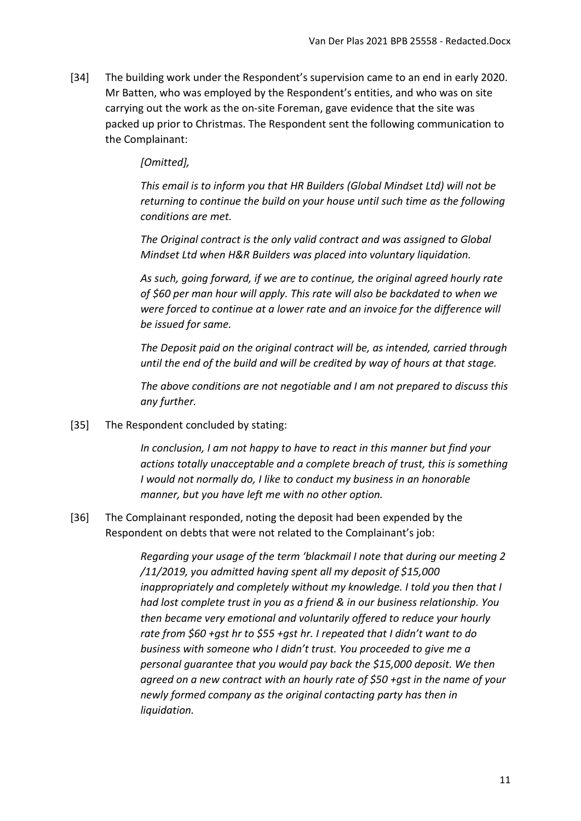[34] The building work under the Respondent's supervision came to an end in early 2020. Mr Batten, who was employed by the Respondent's entities, and who was on site carrying out the work as the on-site Foreman, gave evidence that the site was packed up prior to Christmas. The Respondent sent the following communication to the Complainant:

## *[Omitted],*

*This email is to inform you that HR Builders (Global Mindset Ltd) will not be returning to continue the build on your house until such time as the following conditions are met.*

*The Original contract is the only valid contract and was assigned to Global Mindset Ltd when H&R Builders was placed into voluntary liquidation.*

*As such, going forward, if we are to continue, the original agreed hourly rate of \$60 per man hour will apply. This rate will also be backdated to when we were forced to continue at a lower rate and an invoice for the difference will be issued for same.*

*The Deposit paid on the original contract will be, as intended, carried through until the end of the build and will be credited by way of hours at that stage.*

*The above conditions are not negotiable and I am not prepared to discuss this any further.*

[35] The Respondent concluded by stating:

*In conclusion, I am not happy to have to react in this manner but find your actions totally unacceptable and a complete breach of trust, this is something I would not normally do, I like to conduct my business in an honorable manner, but you have left me with no other option.*

[36] The Complainant responded, noting the deposit had been expended by the Respondent on debts that were not related to the Complainant's job:

> *Regarding your usage of the term 'blackmail I note that during our meeting 2 /11/2019, you admitted having spent all my deposit of \$15,000 inappropriately and completely without my knowledge. I told you then that I had lost complete trust in you as a friend & in our business relationship. You then became very emotional and voluntarily offered to reduce your hourly rate from \$60 +gst hr to \$55 +gst hr. I repeated that I didn't want to do business with someone who I didn't trust. You proceeded to give me a personal guarantee that you would pay back the \$15,000 deposit. We then agreed on a new contract with an hourly rate of \$50 +gst in the name of your newly formed company as the original contacting party has then in liquidation.*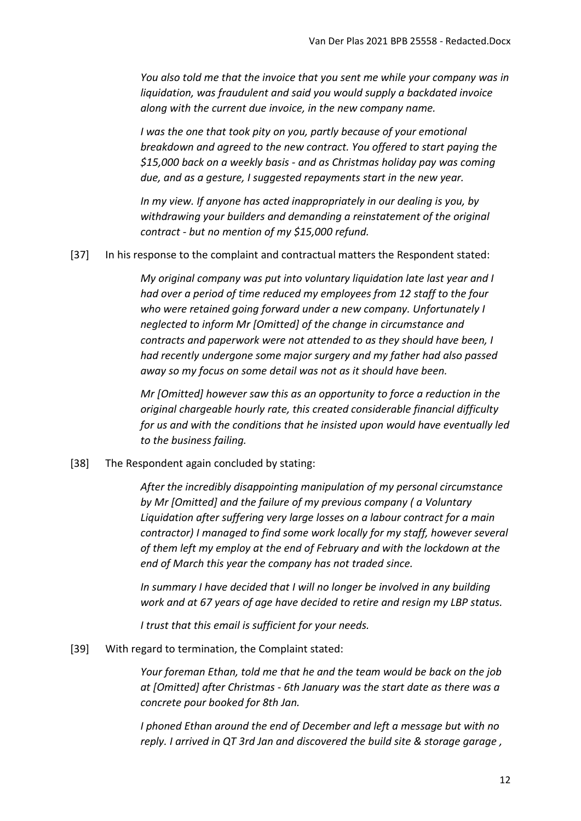*You also told me that the invoice that you sent me while your company was in liquidation, was fraudulent and said you would supply a backdated invoice along with the current due invoice, in the new company name.*

*I was the one that took pity on you, partly because of your emotional breakdown and agreed to the new contract. You offered to start paying the \$15,000 back on a weekly basis - and as Christmas holiday pay was coming due, and as a gesture, I suggested repayments start in the new year.*

*In my view. If anyone has acted inappropriately in our dealing is you, by withdrawing your builders and demanding a reinstatement of the original contract - but no mention of my \$15,000 refund.*

[37] In his response to the complaint and contractual matters the Respondent stated:

*My original company was put into voluntary liquidation late last year and I had over a period of time reduced my employees from 12 staff to the four who were retained going forward under a new company. Unfortunately I neglected to inform Mr [Omitted] of the change in circumstance and contracts and paperwork were not attended to as they should have been, I had recently undergone some major surgery and my father had also passed away so my focus on some detail was not as it should have been.*

*Mr [Omitted] however saw this as an opportunity to force a reduction in the original chargeable hourly rate, this created considerable financial difficulty for us and with the conditions that he insisted upon would have eventually led to the business failing.*

[38] The Respondent again concluded by stating:

*After the incredibly disappointing manipulation of my personal circumstance by Mr [Omitted] and the failure of my previous company ( a Voluntary Liquidation after suffering very large losses on a labour contract for a main contractor) I managed to find some work locally for my staff, however several of them left my employ at the end of February and with the lockdown at the end of March this year the company has not traded since.*

*In summary I have decided that I will no longer be involved in any building work and at 67 years of age have decided to retire and resign my LBP status.*

*I trust that this email is sufficient for your needs.*

[39] With regard to termination, the Complaint stated:

*Your foreman Ethan, told me that he and the team would be back on the job at [Omitted] after Christmas - 6th January was the start date as there was a concrete pour booked for 8th Jan.*

*I phoned Ethan around the end of December and left a message but with no reply. I arrived in QT 3rd Jan and discovered the build site & storage garage ,*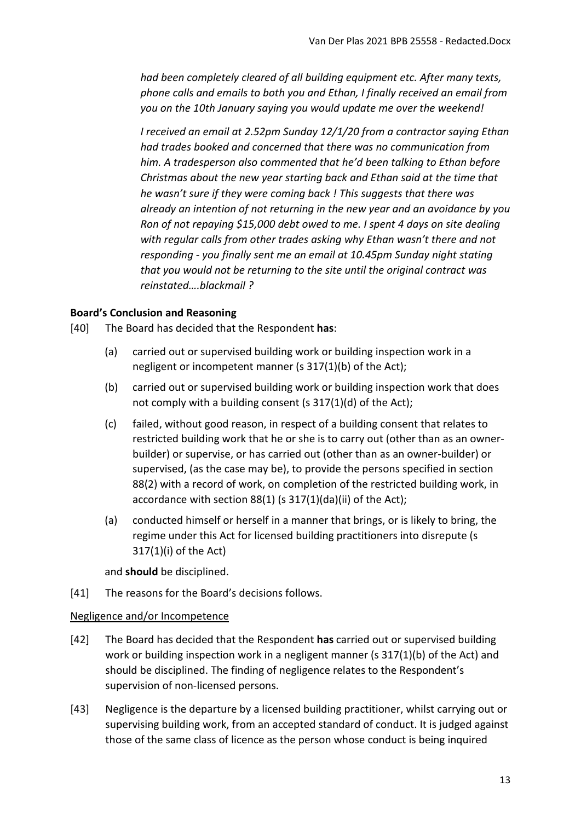*had been completely cleared of all building equipment etc. After many texts, phone calls and emails to both you and Ethan, I finally received an email from you on the 10th January saying you would update me over the weekend!*

*I received an email at 2.52pm Sunday 12/1/20 from a contractor saying Ethan had trades booked and concerned that there was no communication from him. A tradesperson also commented that he'd been talking to Ethan before Christmas about the new year starting back and Ethan said at the time that he wasn't sure if they were coming back ! This suggests that there was already an intention of not returning in the new year and an avoidance by you Ron of not repaying \$15,000 debt owed to me. I spent 4 days on site dealing with regular calls from other trades asking why Ethan wasn't there and not responding - you finally sent me an email at 10.45pm Sunday night stating that you would not be returning to the site until the original contract was reinstated….blackmail ?*

### <span id="page-12-0"></span>**Board's Conclusion and Reasoning**

[40] The Board has decided that the Respondent **has**:

- (a) carried out or supervised building work or building inspection work in a negligent or incompetent manner (s 317(1)(b) of the Act);
- (b) carried out or supervised building work or building inspection work that does not comply with a building consent (s 317(1)(d) of the Act);
- (c) failed, without good reason, in respect of a building consent that relates to restricted building work that he or she is to carry out (other than as an ownerbuilder) or supervise, or has carried out (other than as an owner-builder) or supervised, (as the case may be), to provide the persons specified in section 88(2) with a record of work, on completion of the restricted building work, in accordance with section 88(1) (s 317(1)(da)(ii) of the Act);
- (a) conducted himself or herself in a manner that brings, or is likely to bring, the regime under this Act for licensed building practitioners into disrepute (s 317(1)(i) of the Act)

and **should** be disciplined.

[41] The reasons for the Board's decisions follows.

#### <span id="page-12-1"></span>Negligence and/or Incompetence

- [42] The Board has decided that the Respondent **has** carried out or supervised building work or building inspection work in a negligent manner (s 317(1)(b) of the Act) and should be disciplined. The finding of negligence relates to the Respondent's supervision of non-licensed persons.
- [43] Negligence is the departure by a licensed building practitioner, whilst carrying out or supervising building work, from an accepted standard of conduct. It is judged against those of the same class of licence as the person whose conduct is being inquired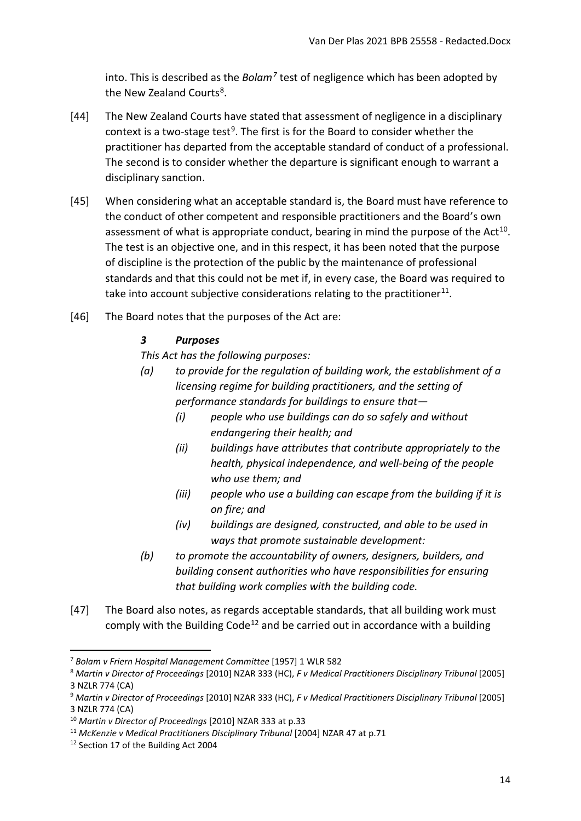into. This is described as the *Bolam[7](#page-13-0)* test of negligence which has been adopted by the New Zealand Courts<sup>8</sup>.

- [44] The New Zealand Courts have stated that assessment of negligence in a disciplinary context is a two-stage test<sup>9</sup>. The first is for the Board to consider whether the practitioner has departed from the acceptable standard of conduct of a professional. The second is to consider whether the departure is significant enough to warrant a disciplinary sanction.
- [45] When considering what an acceptable standard is, the Board must have reference to the conduct of other competent and responsible practitioners and the Board's own assessment of what is appropriate conduct, bearing in mind the purpose of the  $Act^{10}$  $Act^{10}$  $Act^{10}$ . The test is an objective one, and in this respect, it has been noted that the purpose of discipline is the protection of the public by the maintenance of professional standards and that this could not be met if, in every case, the Board was required to take into account subjective considerations relating to the practitioner<sup>[11](#page-13-4)</sup>.
- [46] The Board notes that the purposes of the Act are:

## *3 Purposes*

*This Act has the following purposes:*

- *(a) to provide for the regulation of building work, the establishment of a licensing regime for building practitioners, and the setting of performance standards for buildings to ensure that—* 
	- *(i) people who use buildings can do so safely and without endangering their health; and*
	- *(ii) buildings have attributes that contribute appropriately to the health, physical independence, and well-being of the people who use them; and*
	- *(iii) people who use a building can escape from the building if it is on fire; and*
	- *(iv) buildings are designed, constructed, and able to be used in ways that promote sustainable development:*
- *(b) to promote the accountability of owners, designers, builders, and building consent authorities who have responsibilities for ensuring that building work complies with the building code.*
- [47] The Board also notes, as regards acceptable standards, that all building work must comply with the Building Code<sup>[12](#page-13-5)</sup> and be carried out in accordance with a building

<span id="page-13-0"></span><sup>7</sup> *Bolam v Friern Hospital Management Committee* [1957] 1 WLR 582

<span id="page-13-1"></span><sup>8</sup> *Martin v Director of Proceedings* [2010] NZAR 333 (HC), *F v Medical Practitioners Disciplinary Tribunal* [2005] 3 NZLR 774 (CA)

<span id="page-13-2"></span><sup>9</sup> *Martin v Director of Proceedings* [2010] NZAR 333 (HC), *F v Medical Practitioners Disciplinary Tribunal* [2005] 3 NZLR 774 (CA)

<span id="page-13-3"></span><sup>10</sup> *Martin v Director of Proceedings* [2010] NZAR 333 at p.33

<span id="page-13-4"></span><sup>11</sup> *McKenzie v Medical Practitioners Disciplinary Tribunal* [2004] NZAR 47 at p.71

<span id="page-13-5"></span><sup>12</sup> Section 17 of the Building Act 2004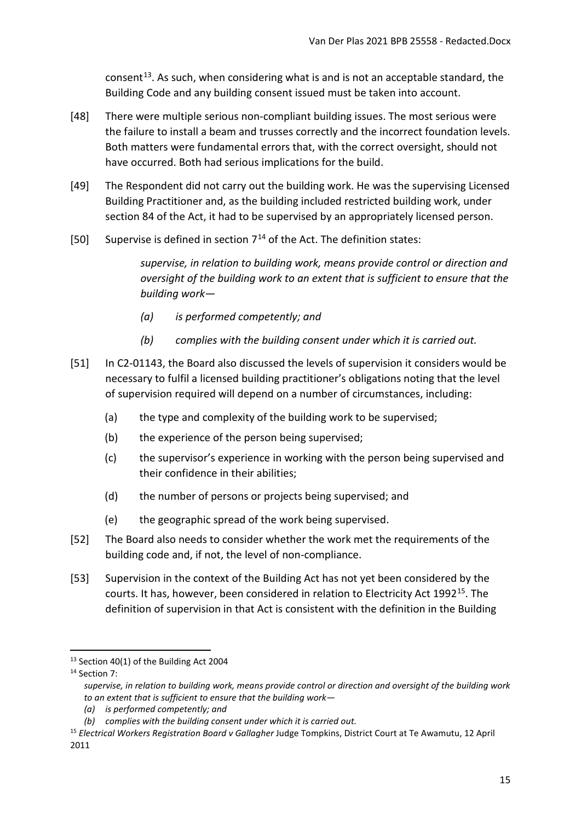consent<sup>[13](#page-14-0)</sup>. As such, when considering what is and is not an acceptable standard, the Building Code and any building consent issued must be taken into account.

- [48] There were multiple serious non-compliant building issues. The most serious were the failure to install a beam and trusses correctly and the incorrect foundation levels. Both matters were fundamental errors that, with the correct oversight, should not have occurred. Both had serious implications for the build.
- [49] The Respondent did not carry out the building work. He was the supervising Licensed Building Practitioner and, as the building included restricted building work, under section 84 of the Act, it had to be supervised by an appropriately licensed person.
- [50] Supervise is defined in section  $7^{14}$  $7^{14}$  $7^{14}$  of the Act. The definition states:

*supervise, in relation to building work, means provide control or direction and oversight of the building work to an extent that is sufficient to ensure that the building work—* 

- *(a) is performed competently; and*
- *(b) complies with the building consent under which it is carried out.*
- [51] In C2-01143, the Board also discussed the levels of supervision it considers would be necessary to fulfil a licensed building practitioner's obligations noting that the level of supervision required will depend on a number of circumstances, including:
	- (a) the type and complexity of the building work to be supervised;
	- (b) the experience of the person being supervised;
	- (c) the supervisor's experience in working with the person being supervised and their confidence in their abilities;
	- (d) the number of persons or projects being supervised; and
	- (e) the geographic spread of the work being supervised.
- [52] The Board also needs to consider whether the work met the requirements of the building code and, if not, the level of non-compliance.
- [53] Supervision in the context of the Building Act has not yet been considered by the courts. It has, however, been considered in relation to Electricity Act 1992<sup>15</sup>. The definition of supervision in that Act is consistent with the definition in the Building

<span id="page-14-0"></span><sup>&</sup>lt;sup>13</sup> Section 40(1) of the Building Act 2004

<span id="page-14-1"></span><sup>&</sup>lt;sup>14</sup> Section 7:

*supervise, in relation to building work, means provide control or direction and oversight of the building work to an extent that is sufficient to ensure that the building work—* 

*<sup>(</sup>a) is performed competently; and*

*<sup>(</sup>b) complies with the building consent under which it is carried out.*

<span id="page-14-2"></span><sup>15</sup> *Electrical Workers Registration Board v Gallagher* Judge Tompkins, District Court at Te Awamutu, 12 April 2011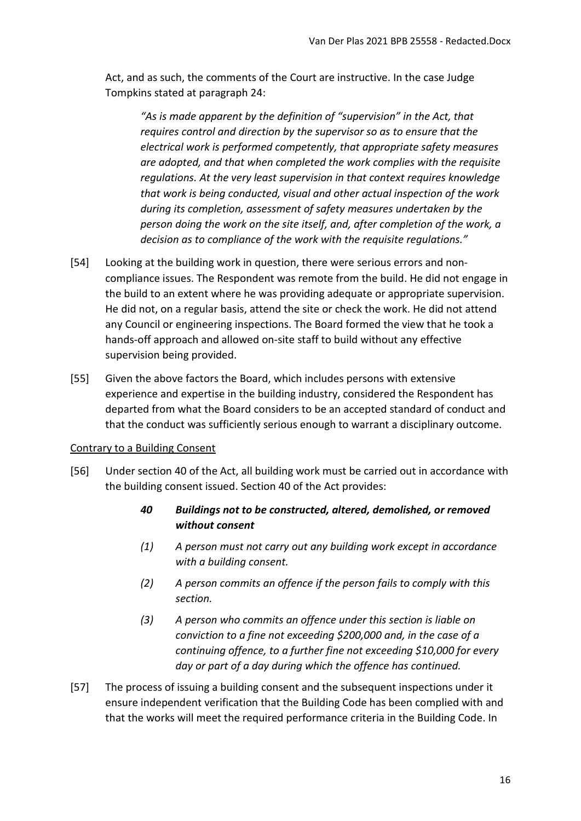Act, and as such, the comments of the Court are instructive. In the case Judge Tompkins stated at paragraph 24:

*"As is made apparent by the definition of "supervision" in the Act, that requires control and direction by the supervisor so as to ensure that the electrical work is performed competently, that appropriate safety measures are adopted, and that when completed the work complies with the requisite regulations. At the very least supervision in that context requires knowledge that work is being conducted, visual and other actual inspection of the work during its completion, assessment of safety measures undertaken by the person doing the work on the site itself, and, after completion of the work, a decision as to compliance of the work with the requisite regulations."*

- [54] Looking at the building work in question, there were serious errors and noncompliance issues. The Respondent was remote from the build. He did not engage in the build to an extent where he was providing adequate or appropriate supervision. He did not, on a regular basis, attend the site or check the work. He did not attend any Council or engineering inspections. The Board formed the view that he took a hands-off approach and allowed on-site staff to build without any effective supervision being provided.
- [55] Given the above factors the Board, which includes persons with extensive experience and expertise in the building industry, considered the Respondent has departed from what the Board considers to be an accepted standard of conduct and that the conduct was sufficiently serious enough to warrant a disciplinary outcome.

### <span id="page-15-0"></span>Contrary to a Building Consent

- [56] Under section 40 of the Act, all building work must be carried out in accordance with the building consent issued. Section 40 of the Act provides:
	- *40 Buildings not to be constructed, altered, demolished, or removed without consent*
	- *(1) A person must not carry out any building work except in accordance with a building consent.*
	- *(2) A person commits an offence if the person fails to comply with this section.*
	- *(3) A person who commits an offence under this section is liable on conviction to a fine not exceeding \$200,000 and, in the case of a continuing offence, to a further fine not exceeding \$10,000 for every day or part of a day during which the offence has continued.*
- [57] The process of issuing a building consent and the subsequent inspections under it ensure independent verification that the Building Code has been complied with and that the works will meet the required performance criteria in the Building Code. In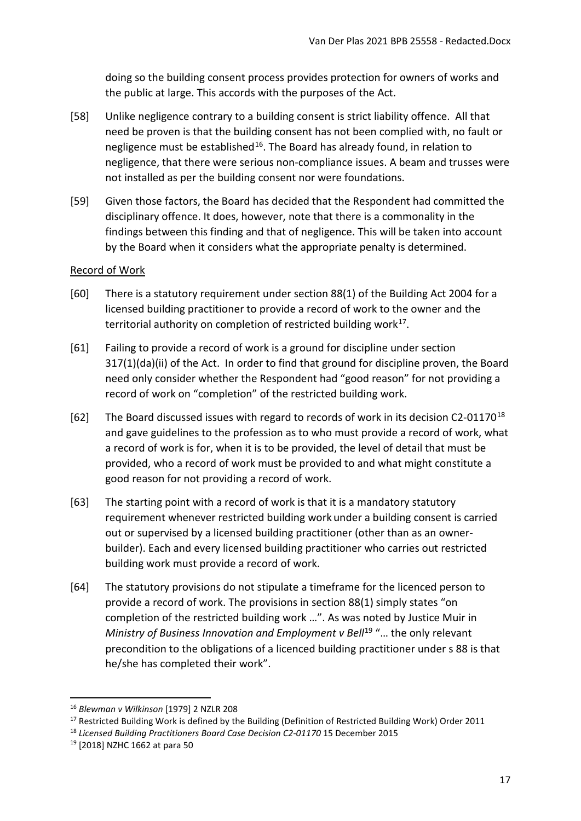doing so the building consent process provides protection for owners of works and the public at large. This accords with the purposes of the Act.

- [58] Unlike negligence contrary to a building consent is strict liability offence. All that need be proven is that the building consent has not been complied with, no fault or negligence must be established<sup>16</sup>. The Board has already found, in relation to negligence, that there were serious non-compliance issues. A beam and trusses were not installed as per the building consent nor were foundations.
- [59] Given those factors, the Board has decided that the Respondent had committed the disciplinary offence. It does, however, note that there is a commonality in the findings between this finding and that of negligence. This will be taken into account by the Board when it considers what the appropriate penalty is determined.

### <span id="page-16-0"></span>Record of Work

- [60] There is a statutory requirement under section 88(1) of the Building Act 2004 for a licensed building practitioner to provide a record of work to the owner and the territorial authority on completion of restricted building work $17$ .
- [61] Failing to provide a record of work is a ground for discipline under section 317(1)(da)(ii) of the Act. In order to find that ground for discipline proven, the Board need only consider whether the Respondent had "good reason" for not providing a record of work on "completion" of the restricted building work.
- [62] The Board discussed issues with regard to records of work in its decision C2-01170<sup>[18](#page-16-3)</sup> and gave guidelines to the profession as to who must provide a record of work, what a record of work is for, when it is to be provided, the level of detail that must be provided, who a record of work must be provided to and what might constitute a good reason for not providing a record of work.
- [63] The starting point with a record of work is that it is a mandatory statutory requirement whenever restricted building work under a building consent is carried out or supervised by a licensed building practitioner (other than as an ownerbuilder). Each and every licensed building practitioner who carries out restricted building work must provide a record of work.
- [64] The statutory provisions do not stipulate a timeframe for the licenced person to provide a record of work. The provisions in section 88(1) simply states "on completion of the restricted building work …". As was noted by Justice Muir in *Ministry of Business Innovation and Employment v Bell<sup>[19](#page-16-4)</sup> "... the only relevant* precondition to the obligations of a licenced building practitioner under s 88 is that he/she has completed their work".

**.** 

<span id="page-16-1"></span><sup>16</sup> *Blewman v Wilkinson* [\[1979\] 2 NZLR 208](http://www.lexisnexis.com/nz/legal/search/enhRunRemoteLink.do?A=0.2086159965275617&service=citation&langcountry=AU&backKey=20_T27461068952&linkInfo=F%23NZ%23NZLR%23vol%252%25sel1%251979%25page%25208%25year%251979%25sel2%252%25&ersKey=23_T27461068929)

<span id="page-16-2"></span><sup>&</sup>lt;sup>17</sup> Restricted Building Work is defined by the Building (Definition of Restricted Building Work) Order 2011

<span id="page-16-3"></span><sup>&</sup>lt;sup>18</sup> Licensed Building Practitioners Board Case Decision C2-01170 15 December 2015

<span id="page-16-4"></span><sup>19</sup> [2018] NZHC 1662 at para 50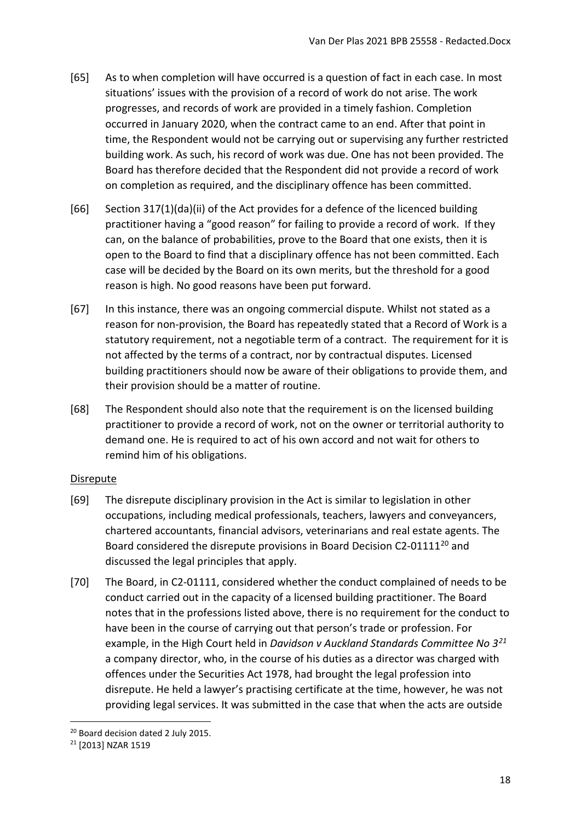- [65] As to when completion will have occurred is a question of fact in each case. In most situations' issues with the provision of a record of work do not arise. The work progresses, and records of work are provided in a timely fashion. Completion occurred in January 2020, when the contract came to an end. After that point in time, the Respondent would not be carrying out or supervising any further restricted building work. As such, his record of work was due. One has not been provided. The Board has therefore decided that the Respondent did not provide a record of work on completion as required, and the disciplinary offence has been committed.
- [66] Section 317(1)(da)(ii) of the Act provides for a defence of the licenced building practitioner having a "good reason" for failing to provide a record of work. If they can, on the balance of probabilities, prove to the Board that one exists, then it is open to the Board to find that a disciplinary offence has not been committed. Each case will be decided by the Board on its own merits, but the threshold for a good reason is high. No good reasons have been put forward.
- [67] In this instance, there was an ongoing commercial dispute. Whilst not stated as a reason for non-provision, the Board has repeatedly stated that a Record of Work is a statutory requirement, not a negotiable term of a contract. The requirement for it is not affected by the terms of a contract, nor by contractual disputes. Licensed building practitioners should now be aware of their obligations to provide them, and their provision should be a matter of routine.
- [68] The Respondent should also note that the requirement is on the licensed building practitioner to provide a record of work, not on the owner or territorial authority to demand one. He is required to act of his own accord and not wait for others to remind him of his obligations.

### <span id="page-17-0"></span>Disrepute

- [69] The disrepute disciplinary provision in the Act is similar to legislation in other occupations, including medical professionals, teachers, lawyers and conveyancers, chartered accountants, financial advisors, veterinarians and real estate agents. The Board considered the disrepute provisions in Board Decision C2-01111<sup>[20](#page-17-1)</sup> and discussed the legal principles that apply.
- [70] The Board, in C2-01111, considered whether the conduct complained of needs to be conduct carried out in the capacity of a licensed building practitioner. The Board notes that in the professions listed above, there is no requirement for the conduct to have been in the course of carrying out that person's trade or profession. For example, in the High Court held in *Davidson v Auckland Standards Committee No 3[21](#page-17-2)* a company director, who, in the course of his duties as a director was charged with offences under the Securities Act 1978, had brought the legal profession into disrepute. He held a lawyer's practising certificate at the time, however, he was not providing legal services. It was submitted in the case that when the acts are outside

**.** 

<span id="page-17-1"></span><sup>&</sup>lt;sup>20</sup> Board decision dated 2 July 2015.

<span id="page-17-2"></span><sup>21</sup> [2013] NZAR 1519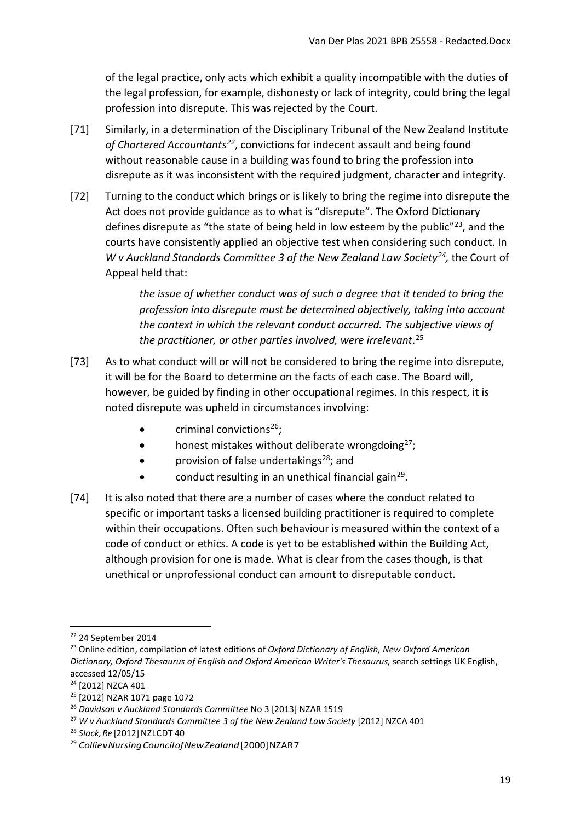of the legal practice, only acts which exhibit a quality incompatible with the duties of the legal profession, for example, dishonesty or lack of integrity, could bring the legal profession into disrepute. This was rejected by the Court.

- [71] Similarly, in a determination of the Disciplinary Tribunal of the New Zealand Institute *of Chartered Accountants[22](#page-18-0)*, convictions for indecent assault and being found without reasonable cause in a building was found to bring the profession into disrepute as it was inconsistent with the required judgment, character and integrity.
- [72] Turning to the conduct which brings or is likely to bring the regime into disrepute the Act does not provide guidance as to what is "disrepute". The Oxford Dictionary defines disrepute as "the state of being held in low esteem by the public" $^{23}$  $^{23}$  $^{23}$ , and the courts have consistently applied an objective test when considering such conduct. In *W v Auckland Standards Committee 3 of the New Zealand Law Society[24](#page-18-2),* the Court of Appeal held that:

*the issue of whether conduct was of such a degree that it tended to bring the profession into disrepute must be determined objectively, taking into account the context in which the relevant conduct occurred. The subjective views of the practitioner, or other parties involved, were irrelevant*. [25](#page-18-3)

- [73] As to what conduct will or will not be considered to bring the regime into disrepute, it will be for the Board to determine on the facts of each case. The Board will, however, be guided by finding in other occupational regimes. In this respect, it is noted disrepute was upheld in circumstances involving:
	- criminal convictions $26$ ;
	- honest mistakes without deliberate wrongdoing $27$ ;
	- provision of false undertakings<sup>[28](#page-18-6)</sup>; and
	- conduct resulting in an unethical financial gain<sup>29</sup>.
- [74] It is also noted that there are a number of cases where the conduct related to specific or important tasks a licensed building practitioner is required to complete within their occupations. Often such behaviour is measured within the context of a code of conduct or ethics. A code is yet to be established within the Building Act, although provision for one is made. What is clear from the cases though, is that unethical or unprofessional conduct can amount to disreputable conduct.

<span id="page-18-0"></span><sup>22</sup> 24 September 2014

<span id="page-18-1"></span><sup>23</sup> Online edition, compilation of latest editions of *Oxford Dictionary of English, New Oxford American Dictionary, Oxford Thesaurus of English and Oxford American Writer's Thesaurus,* search settings UK English, accessed 12/05/15

<span id="page-18-2"></span><sup>24</sup> [2012] NZCA 401

<span id="page-18-3"></span><sup>25</sup> [2012] NZAR 1071 page 1072

<span id="page-18-4"></span><sup>26</sup> *Davidson v Auckland Standards Committee* No 3 [2013] NZAR 1519

<span id="page-18-5"></span><sup>&</sup>lt;sup>27</sup> W v Auckland Standards Committee 3 of the New Zealand Law Society [2012] NZCA 401

<span id="page-18-6"></span><sup>&</sup>lt;sup>28</sup> Slack, Re<sup>[2012]</sup> NZLCDT 40

<span id="page-18-7"></span><sup>&</sup>lt;sup>29</sup> Collie v Nursing Council of New Zealand<sup>[2000]</sup> NZAR 7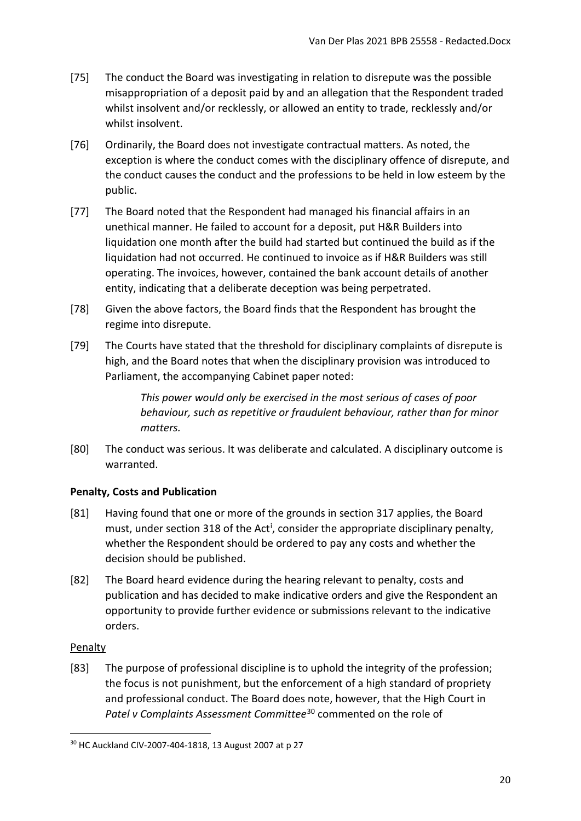- [75] The conduct the Board was investigating in relation to disrepute was the possible misappropriation of a deposit paid by and an allegation that the Respondent traded whilst insolvent and/or recklessly, or allowed an entity to trade, recklessly and/or whilst insolvent.
- [76] Ordinarily, the Board does not investigate contractual matters. As noted, the exception is where the conduct comes with the disciplinary offence of disrepute, and the conduct causes the conduct and the professions to be held in low esteem by the public.
- [77] The Board noted that the Respondent had managed his financial affairs in an unethical manner. He failed to account for a deposit, put H&R Builders into liquidation one month after the build had started but continued the build as if the liquidation had not occurred. He continued to invoice as if H&R Builders was still operating. The invoices, however, contained the bank account details of another entity, indicating that a deliberate deception was being perpetrated.
- [78] Given the above factors, the Board finds that the Respondent has brought the regime into disrepute.
- [79] The Courts have stated that the threshold for disciplinary complaints of disrepute is high, and the Board notes that when the disciplinary provision was introduced to Parliament, the accompanying Cabinet paper noted:

*This power would only be exercised in the most serious of cases of poor behaviour, such as repetitive or fraudulent behaviour, rather than for minor matters.* 

[80] The conduct was serious. It was deliberate and calculated. A disciplinary outcome is warranted.

# <span id="page-19-0"></span>**Penalty, Costs and Publication**

- [81] Having found that one or more of the grounds in section 317 applies, the Board must, under sect[i](#page-24-0)on 318 of the Act<sup>i</sup>, consider the appropriate disciplinary penalty, whether the Respondent should be ordered to pay any costs and whether the decision should be published.
- [82] The Board heard evidence during the hearing relevant to penalty, costs and publication and has decided to make indicative orders and give the Respondent an opportunity to provide further evidence or submissions relevant to the indicative orders.

### <span id="page-19-1"></span>Penalty

[83] The purpose of professional discipline is to uphold the integrity of the profession; the focus is not punishment, but the enforcement of a high standard of propriety and professional conduct. The Board does note, however, that the High Court in *Patel v Complaints Assessment Committee*[30](#page-19-2) commented on the role of

<span id="page-19-2"></span> $\overline{a}$ <sup>30</sup> HC Auckland CIV-2007-404-1818, 13 August 2007 at p 27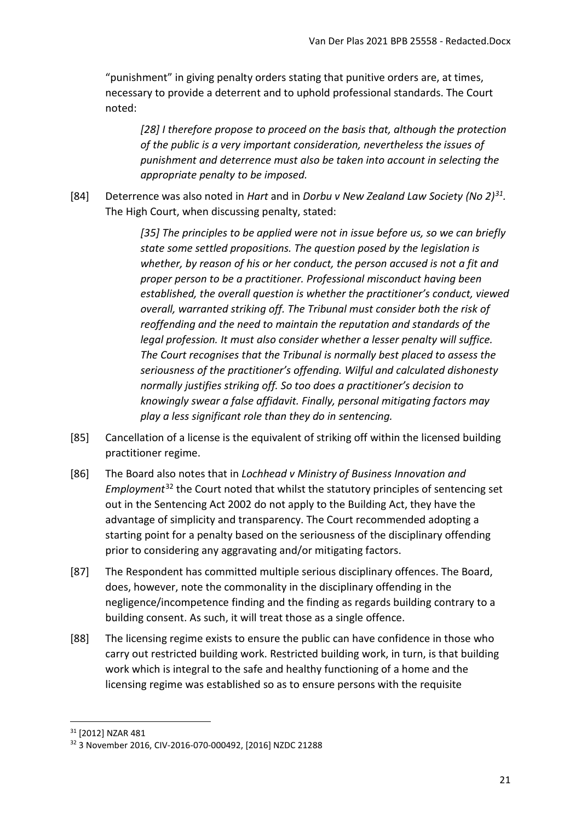"punishment" in giving penalty orders stating that punitive orders are, at times, necessary to provide a deterrent and to uphold professional standards. The Court noted:

*[28] I therefore propose to proceed on the basis that, although the protection of the public is a very important consideration, nevertheless the issues of punishment and deterrence must also be taken into account in selecting the appropriate penalty to be imposed.*

[84] Deterrence was also noted in *Hart* and in *Dorbu v New Zealand Law Society (No 2)[31.](#page-20-0)* The High Court, when discussing penalty, stated:

> *[35] The principles to be applied were not in issue before us, so we can briefly state some settled propositions. The question posed by the legislation is whether, by reason of his or her conduct, the person accused is not a fit and proper person to be a practitioner. Professional misconduct having been established, the overall question is whether the practitioner's conduct, viewed overall, warranted striking off. The Tribunal must consider both the risk of reoffending and the need to maintain the reputation and standards of the legal profession. It must also consider whether a lesser penalty will suffice. The Court recognises that the Tribunal is normally best placed to assess the seriousness of the practitioner's offending. Wilful and calculated dishonesty normally justifies striking off. So too does a practitioner's decision to knowingly swear a false affidavit. Finally, personal mitigating factors may play a less significant role than they do in sentencing.*

- [85] Cancellation of a license is the equivalent of striking off within the licensed building practitioner regime.
- [86] The Board also notes that in *Lochhead v Ministry of Business Innovation and Employment*[32](#page-20-1) the Court noted that whilst the statutory principles of sentencing set out in the Sentencing Act 2002 do not apply to the Building Act, they have the advantage of simplicity and transparency. The Court recommended adopting a starting point for a penalty based on the seriousness of the disciplinary offending prior to considering any aggravating and/or mitigating factors.
- [87] The Respondent has committed multiple serious disciplinary offences. The Board, does, however, note the commonality in the disciplinary offending in the negligence/incompetence finding and the finding as regards building contrary to a building consent. As such, it will treat those as a single offence.
- [88] The licensing regime exists to ensure the public can have confidence in those who carry out restricted building work. Restricted building work, in turn, is that building work which is integral to the safe and healthy functioning of a home and the licensing regime was established so as to ensure persons with the requisite

**.** 

<span id="page-20-0"></span><sup>31</sup> [2012] NZAR 481

<span id="page-20-1"></span><sup>32</sup> 3 November 2016, CIV-2016-070-000492, [2016] NZDC 21288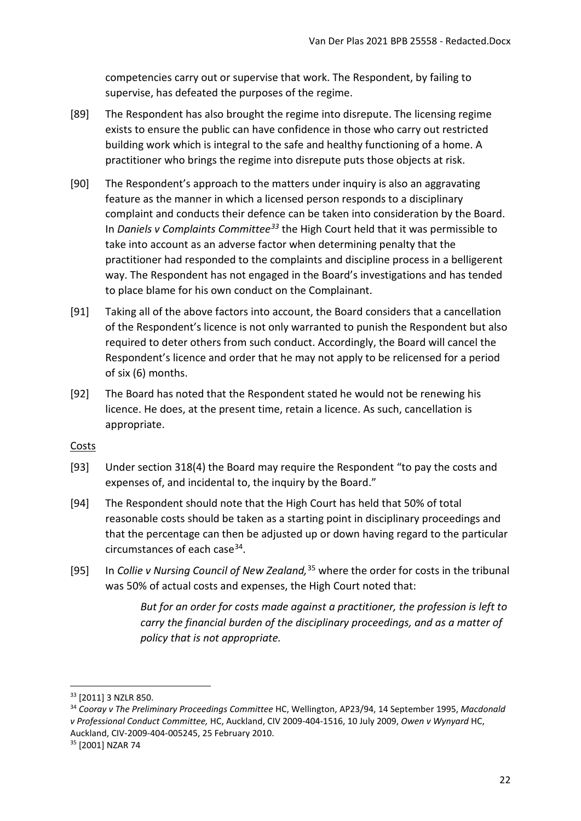competencies carry out or supervise that work. The Respondent, by failing to supervise, has defeated the purposes of the regime.

- [89] The Respondent has also brought the regime into disrepute. The licensing regime exists to ensure the public can have confidence in those who carry out restricted building work which is integral to the safe and healthy functioning of a home. A practitioner who brings the regime into disrepute puts those objects at risk.
- [90] The Respondent's approach to the matters under inquiry is also an aggravating feature as the manner in which a licensed person responds to a disciplinary complaint and conducts their defence can be taken into consideration by the Board. In *Daniels v Complaints Committee[33](#page-21-1)* the High Court held that it was permissible to take into account as an adverse factor when determining penalty that the practitioner had responded to the complaints and discipline process in a belligerent way. The Respondent has not engaged in the Board's investigations and has tended to place blame for his own conduct on the Complainant.
- [91] Taking all of the above factors into account, the Board considers that a cancellation of the Respondent's licence is not only warranted to punish the Respondent but also required to deter others from such conduct. Accordingly, the Board will cancel the Respondent's licence and order that he may not apply to be relicensed for a period of six (6) months.
- [92] The Board has noted that the Respondent stated he would not be renewing his licence. He does, at the present time, retain a licence. As such, cancellation is appropriate.

#### <span id="page-21-0"></span>Costs

- [93] Under section 318(4) the Board may require the Respondent "to pay the costs and expenses of, and incidental to, the inquiry by the Board."
- [94] The Respondent should note that the High Court has held that 50% of total reasonable costs should be taken as a starting point in disciplinary proceedings and that the percentage can then be adjusted up or down having regard to the particular circumstances of each case[34.](#page-21-2)
- [95] In *Collie v Nursing Council of New Zealand,* [35](#page-21-3) where the order for costs in the tribunal was 50% of actual costs and expenses, the High Court noted that:

*But for an order for costs made against a practitioner, the profession is left to carry the financial burden of the disciplinary proceedings, and as a matter of policy that is not appropriate.*

<u>.</u>

<span id="page-21-1"></span><sup>33</sup> [2011] 3 NZLR 850.

<span id="page-21-2"></span><sup>34</sup> *Cooray v The Preliminary Proceedings Committee* HC, Wellington, AP23/94, 14 September 1995, *Macdonald v Professional Conduct Committee,* HC, Auckland, CIV 2009-404-1516, 10 July 2009, *Owen v Wynyard* HC, Auckland, CIV-2009-404-005245, 25 February 2010.<br><sup>35</sup> [2001] NZAR 74

<span id="page-21-3"></span>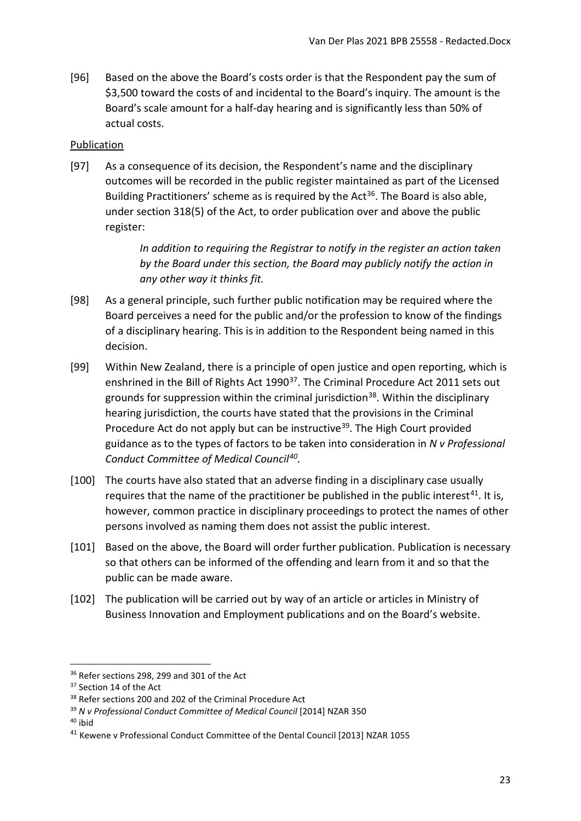[96] Based on the above the Board's costs order is that the Respondent pay the sum of \$3,500 toward the costs of and incidental to the Board's inquiry. The amount is the Board's scale amount for a half-day hearing and is significantly less than 50% of actual costs.

### <span id="page-22-0"></span>Publication

[97] As a consequence of its decision, the Respondent's name and the disciplinary outcomes will be recorded in the public register maintained as part of the Licensed Building Practitioners' scheme as is required by the Act<sup>[36](#page-22-1)</sup>. The Board is also able, under section 318(5) of the Act, to order publication over and above the public register:

> *In addition to requiring the Registrar to notify in the register an action taken by the Board under this section, the Board may publicly notify the action in any other way it thinks fit.*

- [98] As a general principle, such further public notification may be required where the Board perceives a need for the public and/or the profession to know of the findings of a disciplinary hearing. This is in addition to the Respondent being named in this decision.
- [99] Within New Zealand, there is a principle of open justice and open reporting, which is enshrined in the Bill of Rights Act 1990<sup>37</sup>. The Criminal Procedure Act 2011 sets out grounds for suppression within the criminal jurisdiction<sup>38</sup>. Within the disciplinary hearing jurisdiction, the courts have stated that the provisions in the Criminal Procedure Act do not apply but can be instructive<sup>[39](#page-22-4)</sup>. The High Court provided guidance as to the types of factors to be taken into consideration in *N v Professional Conduct Committee of Medical Council[40](#page-22-5).*
- [100] The courts have also stated that an adverse finding in a disciplinary case usually requires that the name of the practitioner be published in the public interest<sup>[41](#page-22-6)</sup>. It is, however, common practice in disciplinary proceedings to protect the names of other persons involved as naming them does not assist the public interest.
- [101] Based on the above, the Board will order further publication. Publication is necessary so that others can be informed of the offending and learn from it and so that the public can be made aware.
- [102] The publication will be carried out by way of an article or articles in Ministry of Business Innovation and Employment publications and on the Board's website.

<span id="page-22-1"></span><sup>&</sup>lt;sup>36</sup> Refer sections 298, 299 and 301 of the Act

<span id="page-22-2"></span><sup>&</sup>lt;sup>37</sup> Section 14 of the Act

<span id="page-22-3"></span><sup>&</sup>lt;sup>38</sup> Refer sections 200 and 202 of the Criminal Procedure Act

<span id="page-22-4"></span><sup>39</sup> *N v Professional Conduct Committee of Medical Council* [2014] NZAR 350

<span id="page-22-5"></span><sup>40</sup> ibid

<span id="page-22-6"></span><sup>41</sup> Kewene v Professional Conduct Committee of the Dental Council [2013] NZAR 1055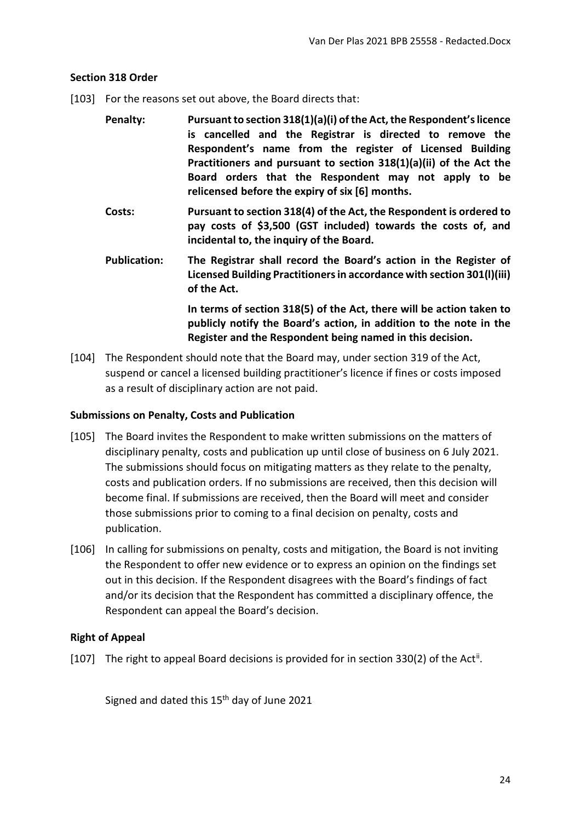#### <span id="page-23-0"></span>**Section 318 Order**

- [103] For the reasons set out above, the Board directs that:
	- **Penalty: Pursuant to section 318(1)(a)(i) of the Act, the Respondent's licence is cancelled and the Registrar is directed to remove the Respondent's name from the register of Licensed Building Practitioners and pursuant to section 318(1)(a)(ii) of the Act the Board orders that the Respondent may not apply to be relicensed before the expiry of six [6] months.**
	- **Costs: Pursuant to section 318(4) of the Act, the Respondent is ordered to pay costs of \$3,500 (GST included) towards the costs of, and incidental to, the inquiry of the Board.**
	- **Publication: The Registrar shall record the Board's action in the Register of Licensed Building Practitioners in accordance with section 301(l)(iii) of the Act.**

**In terms of section 318(5) of the Act, there will be action taken to publicly notify the Board's action, in addition to the note in the Register and the Respondent being named in this decision.**

[104] The Respondent should note that the Board may, under section 319 of the Act, suspend or cancel a licensed building practitioner's licence if fines or costs imposed as a result of disciplinary action are not paid.

#### <span id="page-23-1"></span>**Submissions on Penalty, Costs and Publication**

- [105] The Board invites the Respondent to make written submissions on the matters of disciplinary penalty, costs and publication up until close of business on 6 July 2021. The submissions should focus on mitigating matters as they relate to the penalty, costs and publication orders. If no submissions are received, then this decision will become final. If submissions are received, then the Board will meet and consider those submissions prior to coming to a final decision on penalty, costs and publication.
- [106] In calling for submissions on penalty, costs and mitigation, the Board is not inviting the Respondent to offer new evidence or to express an opinion on the findings set out in this decision. If the Respondent disagrees with the Board's findings of fact and/or its decision that the Respondent has committed a disciplinary offence, the Respondent can appeal the Board's decision.

### <span id="page-23-2"></span>**Right of Appeal**

[107] The right to appeal Board decisions is provided for in section 330(2) of the Act<sup>[ii](#page-24-1)</sup>.

Signed and dated this  $15<sup>th</sup>$  day of June 2021